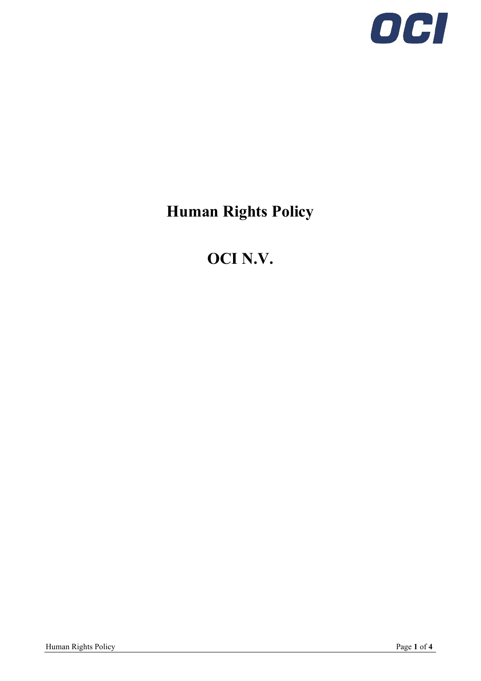

# **Human Rights Policy**

# **OCI N.V.**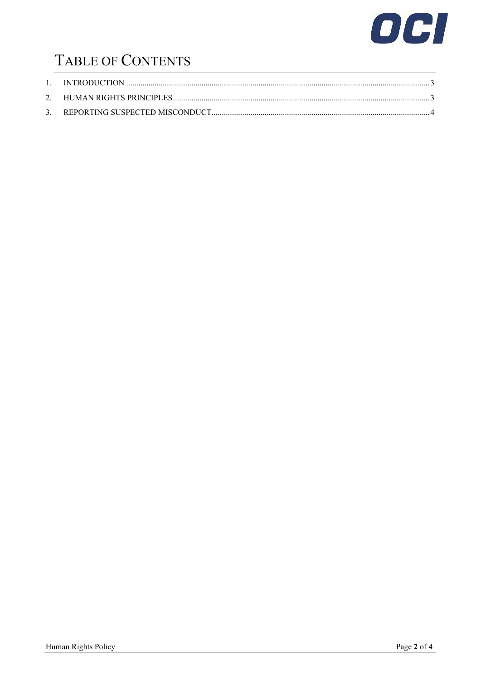

# TABLE OF CONTENTS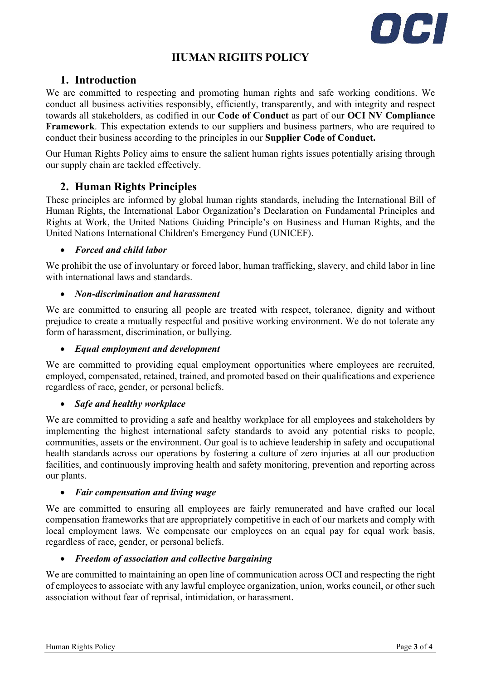

### **HUMAN RIGHTS POLICY**

### <span id="page-2-0"></span>**1. Introduction**

We are committed to respecting and promoting human rights and safe working conditions. We conduct all business activities responsibly, efficiently, transparently, and with integrity and respect towards all stakeholders, as codified in our **Code of Conduct** as part of our **OCI NV Compliance Framework**. This expectation extends to our suppliers and business partners, who are required to conduct their business according to the principles in our **Supplier Code of Conduct.**

Our Human Rights Policy aims to ensure the salient human rights issues potentially arising through our supply chain are tackled effectively.

### <span id="page-2-1"></span>**2. Human Rights Principles**

These principles are informed by global human rights standards, including the International Bill of Human Rights, the International Labor Organization's Declaration on Fundamental Principles and Rights at Work, the United Nations Guiding Principle's on Business and Human Rights, and the United Nations International Children's Emergency Fund (UNICEF).

#### • *Forced and child labor*

We prohibit the use of involuntary or forced labor, human trafficking, slavery, and child labor in line with international laws and standards.

#### • *Non-discrimination and harassment*

We are committed to ensuring all people are treated with respect, tolerance, dignity and without prejudice to create a mutually respectful and positive working environment. We do not tolerate any form of harassment, discrimination, or bullying.

#### • *Equal employment and development*

We are committed to providing equal employment opportunities where employees are recruited, employed, compensated, retained, trained, and promoted based on their qualifications and experience regardless of race, gender, or personal beliefs.

#### • *Safe and healthy workplace*

We are committed to providing a safe and healthy workplace for all employees and stakeholders by implementing the highest international safety standards to avoid any potential risks to people, communities, assets or the environment. Our goal is to achieve leadership in safety and occupational health standards across our operations by fostering a culture of zero injuries at all our production facilities, and continuously improving health and safety monitoring, prevention and reporting across our plants.

#### • *Fair compensation and living wage*

We are committed to ensuring all employees are fairly remunerated and have crafted our local compensation frameworks that are appropriately competitive in each of our markets and comply with local employment laws. We compensate our employees on an equal pay for equal work basis, regardless of race, gender, or personal beliefs.

#### • *Freedom of association and collective bargaining*

We are committed to maintaining an open line of communication across OCI and respecting the right of employees to associate with any lawful employee organization, union, works council, or other such association without fear of reprisal, intimidation, or harassment.